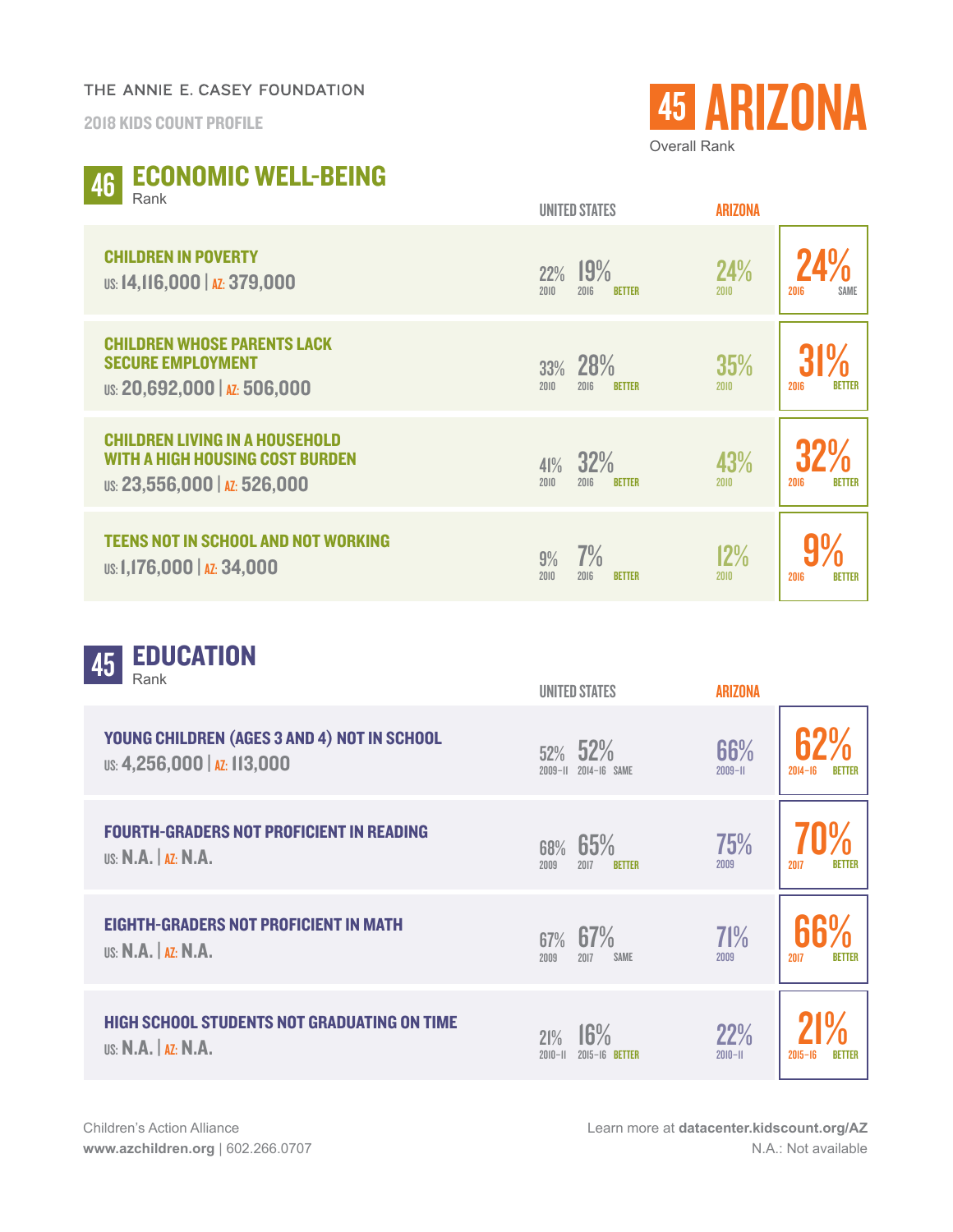## THE ANNIE E. CASEY FOUNDATION

2018 KIDS COUNT PROFILE



## ECONOMIC WELL-BEING 46 ECI

| 1 \GI IN                                                                                                        | <b>UNITED STATES</b>                        | <b>ARIZONA</b> |                       |
|-----------------------------------------------------------------------------------------------------------------|---------------------------------------------|----------------|-----------------------|
| <b>CHILDREN IN POVERTY</b><br>US: 14, 116, 000   AZ: 379, 000                                                   | 19%<br>22%<br>2010<br>2016<br><b>BETTER</b> | 24%<br>2010    | <b>SAME</b><br>2016   |
| <b>CHILDREN WHOSE PARENTS LACK</b><br><b>SECURE EMPLOYMENT</b><br>US: 20,692,000   AZ: 506,000                  | 28%<br>33%<br>2010<br>2016<br><b>BETTER</b> | 35%<br>2010    | <b>BETTER</b><br>2016 |
| <b>CHILDREN LIVING IN A HOUSEHOLD</b><br><b>WITH A HIGH HOUSING COST BURDEN</b><br>US: 23,556,000   AZ: 526,000 | 32%<br>41%<br>2010<br>2016<br><b>BETTER</b> | 43%<br>2010    | 2016<br><b>BETTER</b> |
| <b>TEENS NOT IN SCHOOL AND NOT WORKING</b><br>US: 1,176,000   AZ: 34,000                                        | 7%<br>9%<br>2010<br>2016<br><b>RETTER</b>   | 12%<br>2010    | 2016<br><b>BETTER</b> |

| <b>EDUCATION</b><br>45<br>Rank                                                   | <b>UNITED STATES</b>                        | <b>ARIZONA</b>     |                              |
|----------------------------------------------------------------------------------|---------------------------------------------|--------------------|------------------------------|
| YOUNG CHILDREN (AGES 3 AND 4) NOT IN SCHOOL<br>US: 4,256,000   AZ: 113,000       | 52% 52%<br>2014-16 SAME<br>$2009 - 11$      | 66%<br>$2009 - H$  | $2014 - 16$                  |
| <b>FOURTH-GRADERS NOT PROFICIENT IN READING</b><br><b>US: N.A.   AZ: N.A.</b>    | 65%<br>68%<br>2017<br>2009<br><b>BETTER</b> | 75%<br>2009        | 2017<br><b>BETTER</b>        |
| <b>EIGHTH-GRADERS NOT PROFICIENT IN MATH</b><br><b>US: N.A.   AZ: N.A.</b>       | 67%<br>67%<br>2017<br><b>SAME</b><br>2009   | 71%<br>2009        | 2017<br><b>BETTER</b>        |
| <b>HIGH SCHOOL STUDENTS NOT GRADUATING ON TIME</b><br><b>US: N.A.</b>   AZ: N.A. | 16%<br>21%<br>$2010 - 11$<br>2015-16 BETTER | 22%<br>$2010 - 11$ | $2015 - 16$<br><b>RETTER</b> |